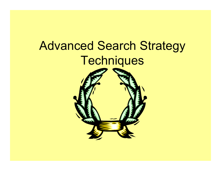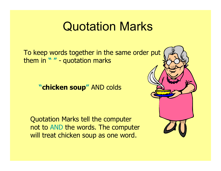## Quotation Marks

To keep words together in the same order put them in **" "** - quotation marks

**"chicken soup "** AND colds

Quotation Marks tell the computer not to AND the words. The computer will treat chicken soup as one word.

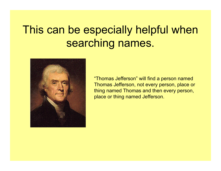## This can be especially helpful when searching names.



"Thomas Jefferson" will find a person named Thomas Jefferson, not every person, place or thing named Thomas and then every person, place or thing named Jefferson.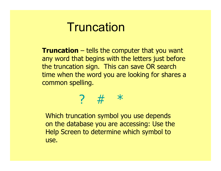## **Truncation**

**Truncation** – tells the computer that you want any word that begins with the letters just before the truncation sign. This can save OR search time when the word you are looking for shares a common spelling.

#### ? # \*

Which truncation symbol you use depends on the database you are accessing: Use the Help Screen to determine which symbol to use.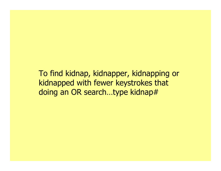To find kidnap, kidnapper, kidnapping or kidnapped with fewer keystrokes that doing an OR search...type kidnap#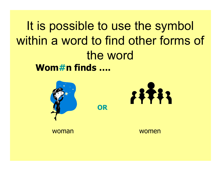**Wom#n finds ….** It is possible to use the symbol within a word to find other forms of the word

**OR**





woman women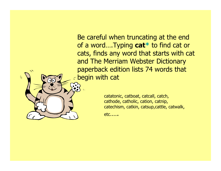Be careful when truncating at the end of a word….Typing **cat \*** to find cat or cats, finds any word that starts with cat and The Merriam Webster Dictionary paperback edition lists 74 words that begin with cat

> catatonic, catboat, catcall, catch, cathode, catholic, cation, catnip, catechism, catkin, catsup,cattle, catwalk,

etc.….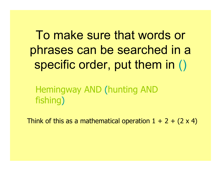To make sure that words or phrases can be searched in a specific order, put them in ()

Hemingway AND (hunting AND fishing )

Think of this as a mathematical operation  $1 + 2 + (2 \times 4)$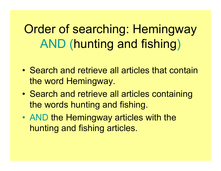Order of searching: Hemingway AND (hunting and fishing )

- Search and retrieve all articles that contain the word Hemingway.
- • Search and retrieve all articles containing the words hunting and fishing.
- AND the Hemingway articles with the hunting and fishing articles.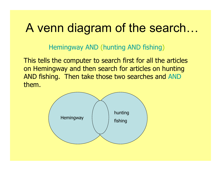# A venn diagram of the search…

Hemingway AND (hunting AND fishing)

This tells the computer to search first for all the articles on Hemingway and then search for articles on hunting AND fishing. Then take those two searches and AND them.